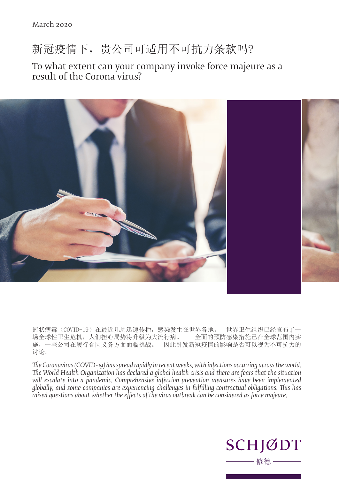# 新冠疫情下,贵公司可适用不可抗力条款吗?

To what extent can your company invoke force majeure as a result of the Corona virus?



冠状病毒(COVID-19)在最近几周迅速传播,感染发生在世界各地。 世界卫生组织已经宣布了一 场全球性卫生危机,人们担心局势将升级为大流行病。 全面的预防感染措施已在全球范围内实 施,一些公司在履行合同义务方面面临挑战。 因此引发新冠疫情的影响是否可以视为不可抗力的 讨论。

*The Coronavirus (COVID-19) has spread rapidly in recent weeks, with infections occurring across the world. The World Health Organization has declared a global health crisis and there are fears that the situation*  will escalate into a pandemic. Comprehensive infection prevention measures have been implemented *globally, and some companies are experiencing challenges in fulfilling contractual obligations. This has raised questions about whether the effects of the virus outbreak can be considered as force majeure.* 

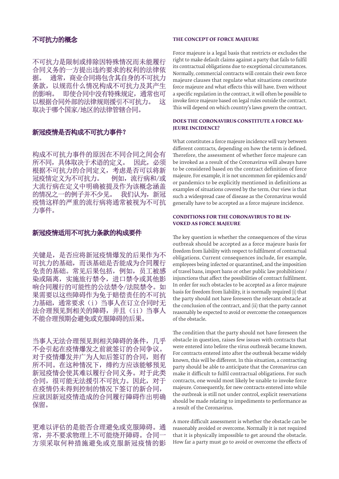不可抗力是限制或排除因特殊情况而未能履行 合同义务的一方提出违约要求的权利的法律依 据。 通常,商业合同将包含其自身的不可抗力 条款,以规范什么情况构成不可抗力及其产生 的影响。 即使合同中没有特殊规定,通常也可 以根据合同外部的法律规则援引不可抗力。 这 取决于哪个国家/地区的法律管辖合同。

## 新冠疫情是否构成不可抗力事件?

构成不可抗力事件的原因在不同合同之间会有 所不同,具体取决于术语的定义。 因此,必须 根据不可抗力的合同定义,考虑是否可以将新 冠疫情定义为不可抗力。 例如,流行病和/或 大流行病在定义中明确被提及作为该概念涵盖 的情况之一的例子并不少见。 我们认为,新冠 疫情这样的严重的流行病将通常被视为不可抗 力事件。

# 新冠疫情适用不可抗力条款的构成要件

关键是,是否应将新冠疫情爆发的后果作为不 可抗力的基础,而该基础是否能成为合同履行 免责的基础。常见后果包括,例如,员工被感 染或隔离,实施旅行禁令,进口禁令或其他影 响合同履行的可能性的公法禁令/法院禁令。如 果需要以这些障碍作为免于赔偿责任的不可抗 力基础,通常要求(i)当事人在订立合同时无 法合理预见到相关的障碍,并且(ii)当事人 不能合理预期会避免或克服障碍的后果。

当事人无法合理预见到相关障碍的条件,几乎 不会引起在疫情爆发之前就签订的合同争议。 对于疫情爆发并广为人知后签订的合同,则有 所不同。在这种情况下,缔约方应该能够预见 新冠疫情会使其难以履行合同义务。对于此类 合同,很可能无法援引不可抗力。因此,对于 在疫情仍未得到控制的情况下签订的新合同, 应就因新冠疫情造成的合同履行障碍作出明确 保留。

更难以评估的是能否合理避免或克服障碍。通 常,并不要求物理上不可能绕开障碍。合同 方须采取何种措施避免或克服新冠疫情的影

#### **THE CONCEPT OF FORCE MAJEURE**

Force majeure is a legal basis that restricts or excludes the right to make default claims against a party that fails to fulfil its contractual obligations due to exceptional circumstances. Normally, commercial contracts will contain their own force majeure clauses that regulate what situations constitute force majeure and what effects this will have. Even without a specific regulation in the contract, it will often be possible to invoke force majeure based on legal rules outside the contract. This will depend on which country's laws govern the contract.

#### **DOES THE CORONAVIRUS CONSTITUTE A FORCE MA-JEURE INCIDENCE?**

What constitutes a force majeure incidence will vary between different contracts, depending on how the term is defined. Therefore, the assessment of whether force majeure can be invoked as a result of the Coronavirus will always have to be considered based on the contract definition of force majeure. For example, it is not uncommon for epidemics and/ or pandemics to be explicitly mentioned in definitions as examples of situations covered by the term. Our view is that such a widespread case of disease as the Coronavirus would generally have to be accepted as a force majeure incidence.

## **CONDITIONS FOR THE CORONAVIRUS TO BE IN-VOKED AS FORCE MAJEURE**

The key question is whether the consequences of the virus outbreak should be accepted as a force majeure basis for freedom from liability with respect to fulfilment of contractual obligations. Current consequences include, for example, employees being infected or quarantined, and the imposition of travel bans, import bans or other public law prohibitions / injunctions that affect the possibilities of contract fulfilment. In order for such obstacles to be accepted as a force majeure basis for freedom from liability, it is normally required (i) that the party should not have foreseen the relevant obstacle at the conclusion of the contract, and (ii) that the party cannot reasonably be expected to avoid or overcome the consequences of the obstacle.

The condition that the party should not have foreseen the obstacle in question, raises few issues with contracts that were entered into before the virus outbreak became known. For contracts entered into after the outbreak became widely known, this will be different. In this situation, a contracting party should be able to anticipate that the Coronavirus can make it difficult to fulfil contractual obligations. For such contracts, one would most likely be unable to invoke force majeure. Consequently, for new contracts entered into while the outbreak is still not under control, explicit reservations should be made relating to impediments to performance as a result of the Coronavirus.

A more difficult assessment is whether the obstacle can be reasonably avoided or overcome. Normally it is not required that it is physically impossible to get around the obstacle. How far a party must go to avoid or overcome the effects of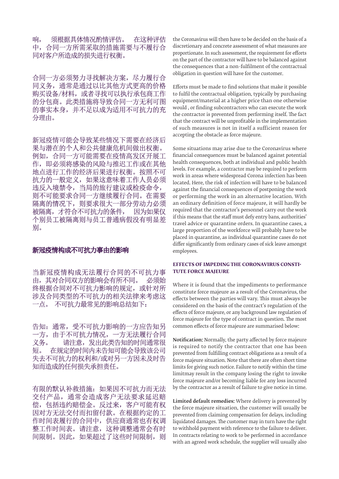响, 须根据具体情况酌情评估。 在这种评估 中,合同一方所需采取的措施需要与不履行合 同对客户所造成的损失进行权衡。

合同一方必须努力寻找解决方案,尽力履行合 同义务,通常是通过以比其他方式更高的价格 购买设备/材料,或者寻找可以执行承包商工作 的分包商。此类措施将导致合同一方无利可图 的事实本身,并不足以成为适用不可抗力的充 分理由。

新冠疫情可能会导致某些情况下需要在经济后 果与潜在的个人和公共健康危机间做出权衡。 例如,合同一方可能需要在疫情高发区开展工 作,即必须将感染的风险与推迟工作或在其他 地点进行工作的经济后果进行权衡。按照不可 抗力的一般定义,如果这意味着工作人员必须 违反入境禁令,当局的旅行建议或检疫命令, 则不可能要求合同一方继续履行合同。在需要 隔离的情况下,则要求很大一部分劳动力必须 被隔离,才符合不可抗力的条件, 因为如果仅 个别员工被隔离则与员工普通病假没有明显差 别。

#### 新冠疫情构成不可抗力事由的影响

当新冠疫情构成无法履行合同的不可抗力事 由,其对合同双方的影响会有所不同。 必须始 终根据合同对不可抗力影响的规定,或针对所 涉及合同类型的不可抗力的相关法律来考虑这 一点。 不可抗力最常见的影响总结如下:

告知:通常,受不可抗力影响的一方应告知另 一方,由于不可抗力情况,一方无法履行合同 义务。 请注意,发出此类告知的时间通常很 短。 在规定的时间内未告知可能会导致该公司 失去不可抗力的权利和/或对另一方因未及时告 知而造成的任何损失承担责任。

有限的默认补救措施:如果因不可抗力而无法 交付产品,通常会造成客户无法要求延迟赔 偿,包括违约赔偿金。反过来,客户可能有权 因对方无法交付而扣留付款。在根据约定的工 作时间表履行的合同中,供应商通常也有权调 整工作时间表。请注意,这种调整通常会有时 间限制。因此,如果超过了这些时间限制,则

the Coronavirus will then have to be decided on the basis of a discretionary and concrete assessment of what measures are proportionate. In such assessment, the requirement for efforts on the part of the contractor will have to be balanced against the consequences that a non-fulfilment of the contractual obligation in question will have for the customer.

Efforts must be made to find solutions that make it possible to fulfil the contractual obligation, typically by purchasing equipment/material at a higher price than one otherwise would , or finding subcontractors who can execute the work the contractor is prevented from performing itself. The fact that the contract will be unprofitable in the implementation of such measures is not in itself a sufficient reason for accepting the obstacle as force majeure.

Some situations may arise due to the Coronavirus where financial consequences must be balanced against potential health consequences, both at individual and public health levels. For example, a contractor may be required to perform work in areas where widespread Corona infection has been located. Here, the risk of infection will have to be balanced against the financial consequences of postponing the work or performing the work in an alternative location. With an ordinary definition of force majeure, it will hardly be required that the contractor's personnel carry out the work if this means that the staff must defy entry bans, authorities' travel advice or quarantine orders. In quarantine cases, a large proportion of the workforce will probably have to be placed in quarantine, as individual quarantine cases do not differ significantly from ordinary cases of sick leave amongst employees.

#### **EFFECTS OF IMPEDING THE CORONAVIRUS CONSTI-TUTE FORCE MAJEURE**

Where it is found that the impediments to performance constitute force majeure as a result of the Coronavirus, the effects between the parties will vary. This must always be considered on the basis of the contract's regulation of the effects of force majeure, or any background law regulation of force majeure for the type of contract in question. The most common effects of force majeure are summarised below:

Notification: Normally, the party affected by force majeure is required to notify the contractor that one has been prevented from fulfilling contract obligations as a result of a force majeure situation. Note that there are often short time limits for giving such notice. Failure to notify within the time limitmay result in the company losing the right to invoke force majeure and/or becoming liable for any loss incurred by the contractor as a result of failure to give notice in time.

Limited default remedies: Where delivery is prevented by the force majeure situation, the customer will usually be prevented from claiming compensation for delays, including liquidated damages. The customer may in turn have the right to withhold payment with reference to the failure to deliver. In contracts relating to work to be performed in accordance with an agreed work schedule, the supplier will usually also